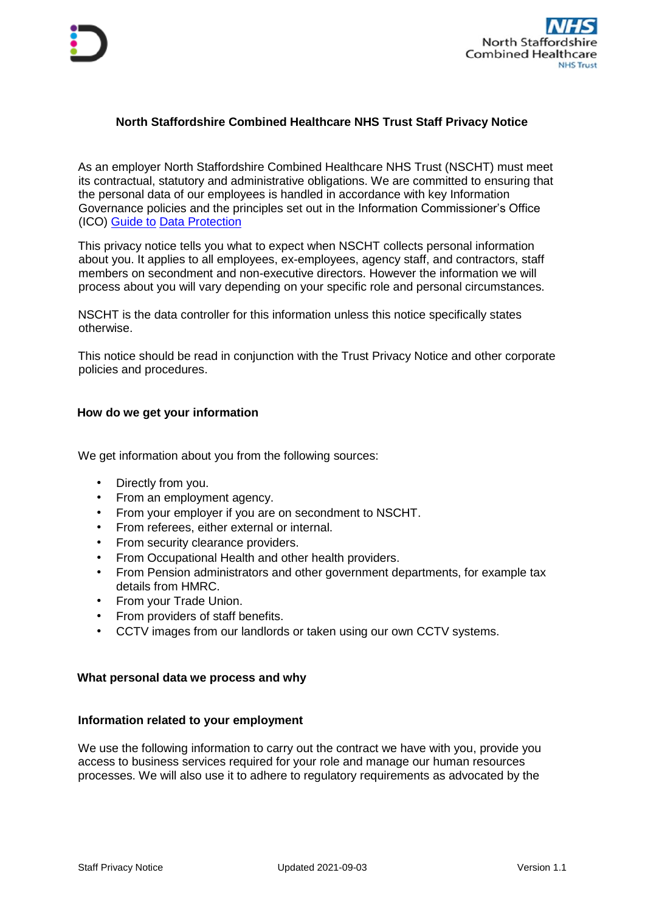

# **North Staffordshire Combined Healthcare NHS Trust Staff Privacy Notice**

As an employer North Staffordshire Combined Healthcare NHS Trust (NSCHT) must meet its contractual, statutory and administrative obligations. We are committed to ensuring that the personal data of our employees is handled in accordance with key Information Governance policies and the principles set out in the Information Commissioner's Office (ICO) [Guide to](https://ico.org.uk/for-organisations/guide-to-data-protection/) Data Protection

This privacy notice tells you what to expect when NSCHT collects personal information about you. It applies to all employees, ex-employees, agency staff, and contractors, staff members on secondment and non-executive directors. However the information we will process about you will vary depending on your specific role and personal circumstances.

NSCHT is the data controller for this information unless this notice specifically states otherwise.

This notice should be read in conjunction with the Trust Privacy Notice [a](https://ico.org.uk/global/privacy-notice/)nd other corporate policies and procedures.

## **How do we get your information**

We get information about you from the following sources:

- Directly from you.
- From an employment agency.
- From your employer if you are on secondment to NSCHT.
- From referees, either external or internal.
- From security clearance providers.
- From Occupational Health and other health providers.
- From Pension administrators and other government departments, for example tax details from HMRC.
- From your Trade Union.
- From providers of staff benefits.
- CCTV images from our landlords or taken using our own CCTV systems.

### **What personal data we process and why**

### **Information related to your employment**

We use the following information to carry out the contract we have with you, provide you access to business services required for your role and manage our human resources processes. We will also use it to adhere to regulatory requirements as advocated by the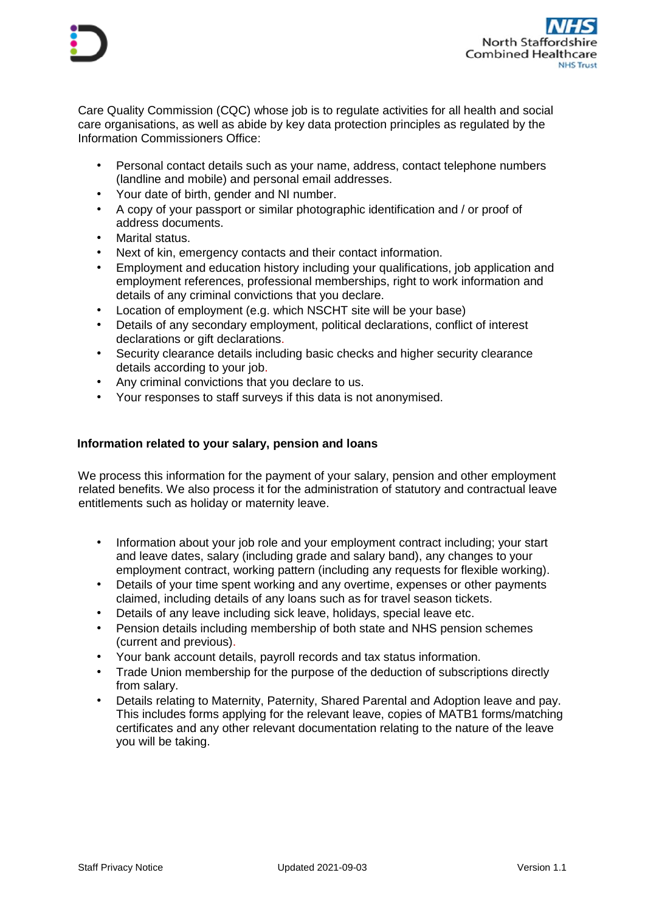



Care Quality Commission (CQC) whose job is to regulate activities for all health and social care organisations, as well as abide by key data protection principles as regulated by the Information Commissioners Office:

- Personal contact details such as your name, address, contact telephone numbers (landline and mobile) and personal email addresses.
- Your date of birth, gender and NI number.
- A copy of your passport or similar photographic identification and / or proof of address documents.
- Marital status.
- Next of kin, emergency contacts and their contact information.
- Employment and education history including your qualifications, job application and employment references, professional memberships, right to work information and details of any criminal convictions that you declare.
- Location of employment (e.g. which NSCHT site will be your base)
- Details of any secondary employment, political declarations, conflict of interest declarations or gift declarations.
- Security clearance details including basic checks and higher security clearance details according to your job.
- Any criminal convictions that you declare to us.
- Your responses to staff surveys if this data is not anonymised.

## **Information related to your salary, pension and loans**

We process this information for the payment of your salary, pension and other employment related benefits. We also process it for the administration of statutory and contractual leave entitlements such as holiday or maternity leave.

- Information about your job role and your employment contract including; your start and leave dates, salary (including grade and salary band), any changes to your employment contract, working pattern (including any requests for flexible working).
- Details of your time spent working and any overtime, expenses or other payments claimed, including details of any loans such as for travel season tickets.
- Details of any leave including sick leave, holidays, special leave etc.
- Pension details including membership of both state and NHS pension schemes (current and previous).
- Your bank account details, payroll records and tax status information.
- Trade Union membership for the purpose of the deduction of subscriptions directly from salary.
- Details relating to Maternity, Paternity, Shared Parental and Adoption leave and pay. This includes forms applying for the relevant leave, copies of MATB1 forms/matching certificates and any other relevant documentation relating to the nature of the leave you will be taking.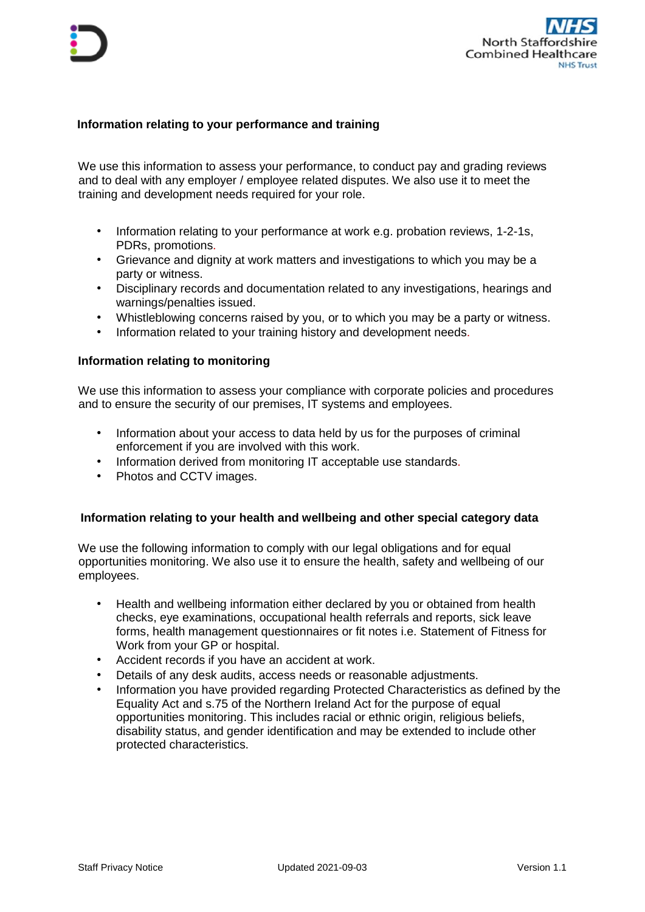

## **Information relating to your performance and training**

We use this information to assess your performance, to conduct pay and grading reviews and to deal with any employer / employee related disputes. We also use it to meet the training and development needs required for your role.

- Information relating to your performance at work e.g. probation reviews, 1-2-1s, PDRs, promotions.
- Grievance and dignity at work matters and investigations to which you may be a party or witness.
- Disciplinary records and documentation related to any investigations, hearings and warnings/penalties issued.
- Whistleblowing concerns raised by you, or to which you may be a party or witness.
- Information related to your training history and development needs.

### **Information relating to monitoring**

We use this information to assess your compliance with corporate policies and procedures and to ensure the security of our premises, IT systems and employees.

- Information about your access to data held by us for the purposes of criminal enforcement if you are involved with this work.
- Information derived from monitoring IT acceptable use standards.
- Photos and CCTV images.

### **Information relating to your health and wellbeing and other special category data**

We use the following information to comply with our legal obligations and for equal opportunities monitoring. We also use it to ensure the health, safety and wellbeing of our employees.

- Health and wellbeing information either declared by you or obtained from health checks, eye examinations, occupational health referrals and reports, sick leave forms, health management questionnaires or fit notes i.e. Statement of Fitness for Work from your GP or hospital.
- Accident records if you have an accident at work.
- Details of any desk audits, access needs or reasonable adjustments.
- Information you have provided regarding Protected Characteristics as defined by the Equality Act and s.75 of the Northern Ireland Act for the purpose of equal opportunities monitoring. This includes racial or ethnic origin, religious beliefs, disability status, and gender identification and may be extended to include other protected characteristics.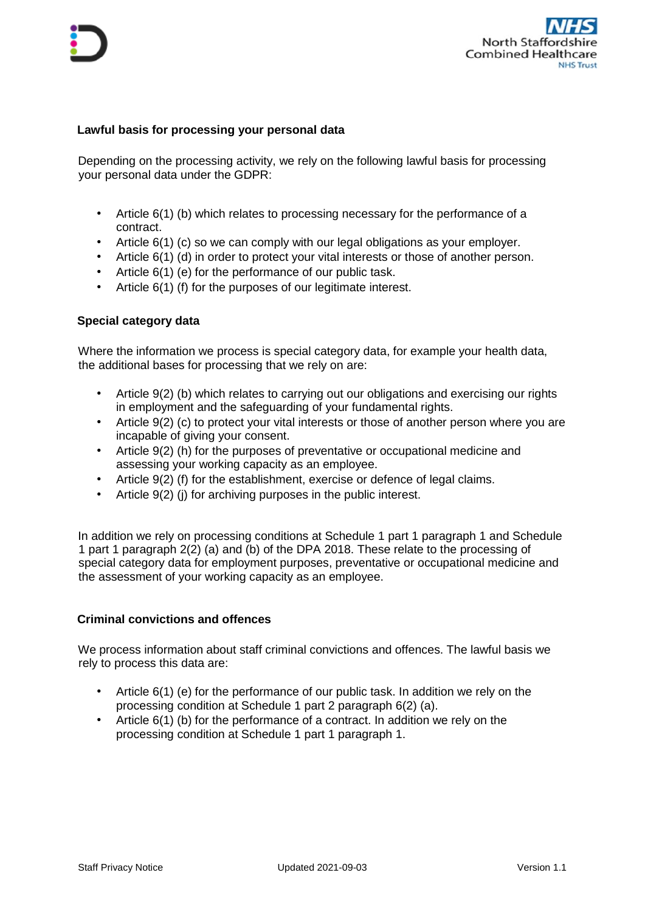

## **Lawful basis for processing your personal data**

Depending on the processing activity, we rely on the following lawful basis for processing your personal data under the GDPR:

- Article 6(1) (b) which relates to processing necessary for the performance of a contract.
- Article 6(1) (c) so we can comply with our legal obligations as your employer.
- Article 6(1) (d) in order to protect your vital interests or those of another person.
- Article 6(1) (e) for the performance of our public task.
- Article 6(1) (f) for the purposes of our legitimate interest.

### **Special category data**

Where the information we process is special category data, for example your health data, the additional bases for processing that we rely on are:

- Article 9(2) (b) which relates to carrying out our obligations and exercising our rights in employment and the safeguarding of your fundamental rights.
- Article 9(2) (c) to protect your vital interests or those of another person where you are incapable of giving your consent.
- Article 9(2) (h) for the purposes of preventative or occupational medicine and assessing your working capacity as an employee.
- Article 9(2) (f) for the establishment, exercise or defence of legal claims.
- Article 9(2) (j) for archiving purposes in the public interest.

In addition we rely on processing conditions at Schedule 1 part 1 paragraph 1 and Schedule 1 part 1 paragraph 2(2) (a) and (b) of the DPA 2018. These relate to the processing of special category data for employment purposes, preventative or occupational medicine and the assessment of your working capacity as an employee.

### **Criminal convictions and offences**

We process information about staff criminal convictions and offences. The lawful basis we rely to process this data are:

- Article 6(1) (e) for the performance of our public task. In addition we rely on the processing condition at Schedule 1 part 2 paragraph 6(2) (a).
- Article 6(1) (b) for the performance of a contract. In addition we rely on the processing condition at Schedule 1 part 1 paragraph 1.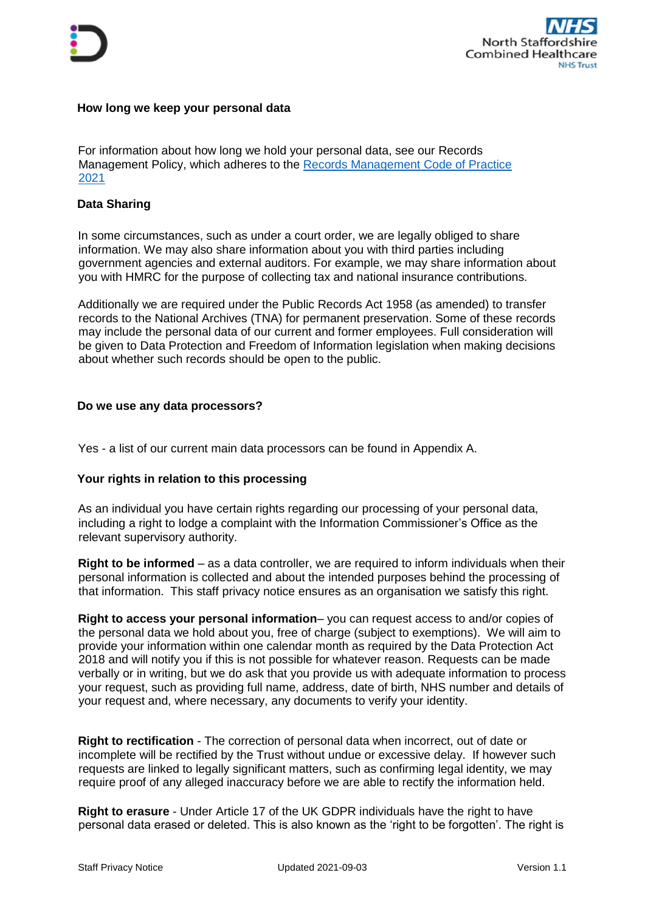

### **How long we keep your personal data**

For information about how long we hold your personal data, see our Records Management Policy, which adheres to the [Records Management Code of Practice](https://www.nhsx.nhs.uk/information-governance/guidance/records-management-code/)  [2021](https://www.nhsx.nhs.uk/information-governance/guidance/records-management-code/)

## **Data Sharing**

In some circumstances, such as under a court order, we are legally obliged to share information. We may also share information about you with third parties including government agencies and external auditors. For example, we may share information about you with HMRC for the purpose of collecting tax and national insurance contributions.

Additionally we are required under the Public Records Act 1958 (as amended) to transfer records to the National Archives (TNA) for permanent preservation. Some of these records may include the personal data of our current and former employees. Full consideration will be given to Data Protection and Freedom of Information legislation when making decisions about whether such records should be open to the public.

### **Do we use any data processors?**

Yes - a list of our current main data processors can be found in Appendix A.

### **Your rights in relation to this processing**

As an individual you have certain rights regarding our processing of your personal data, including a right to lodge a complaint with the Information Commissioner's Office as the relevant supervisory authority.

**Right to be informed** – as a data controller, we are required to inform individuals when their personal information is collected and about the intended purposes behind the processing of that information. This staff privacy notice ensures as an organisation we satisfy this right.

**Right to access your personal information**– you can request access to and/or copies of the personal data we hold about you, free of charge (subject to exemptions). We will aim to provide your information within one calendar month as required by the Data Protection Act 2018 and will notify you if this is not possible for whatever reason. Requests can be made verbally or in writing, but we do ask that you provide us with adequate information to process your request, such as providing full name, address, date of birth, NHS number and details of your request and, where necessary, any documents to verify your identity.

**Right to rectification** - The correction of personal data when incorrect, out of date or incomplete will be rectified by the Trust without undue or excessive delay. If however such requests are linked to legally significant matters, such as confirming legal identity, we may require proof of any alleged inaccuracy before we are able to rectify the information held.

**Right to erasure** - Under Article 17 of the UK GDPR individuals have the right to have personal data erased or deleted. This is also known as the 'right to be forgotten'. The right is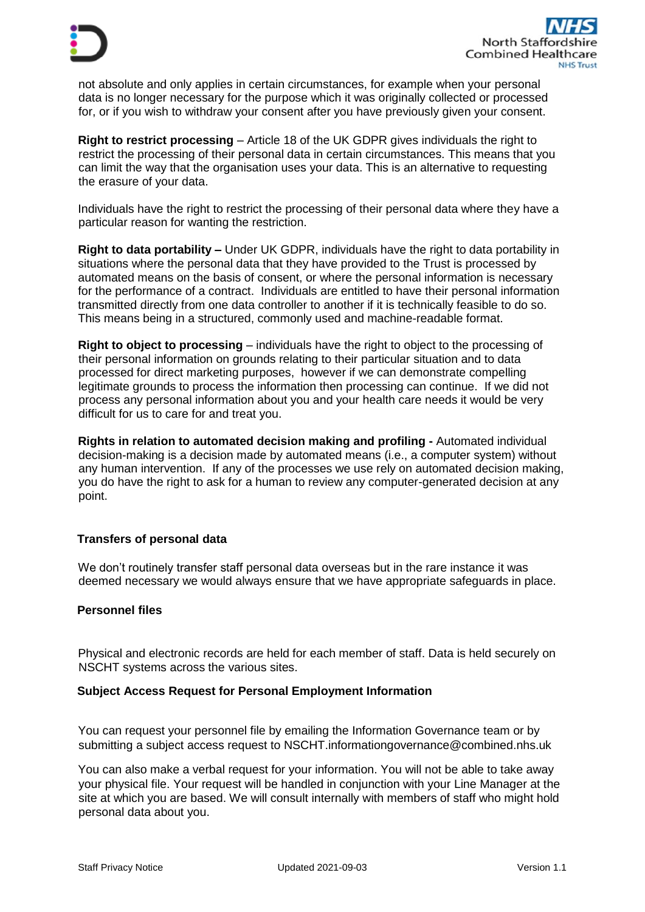

not absolute and only applies in certain circumstances, for example when your personal data is no longer necessary for the purpose which it was originally collected or processed for, or if you wish to withdraw your consent after you have previously given your consent.

**Right to restrict processing** – Article 18 of the UK GDPR gives individuals the right to restrict the processing of their personal data in certain circumstances. This means that you can limit the way that the organisation uses your data. This is an alternative to requesting the erasure of your data.

Individuals have the right to restrict the processing of their personal data where they have a particular reason for wanting the restriction.

**Right to data portability –** Under UK GDPR, individuals have the right to data portability in situations where the personal data that they have provided to the Trust is processed by automated means on the basis of consent, or where the personal information is necessary for the performance of a contract. Individuals are entitled to have their personal information transmitted directly from one data controller to another if it is technically feasible to do so. This means being in a structured, commonly used and machine-readable format.

**Right to object to processing** – individuals have the right to object to the processing of their personal information on grounds relating to their particular situation and to data processed for direct marketing purposes, however if we can demonstrate compelling legitimate grounds to process the information then processing can continue. If we did not process any personal information about you and your health care needs it would be very difficult for us to care for and treat you.

**Rights in relation to automated decision making and profiling -** Automated individual decision-making is a decision made by automated means (i.e., a computer system) without any human intervention. If any of the processes we use rely on automated decision making, you do have the right to ask for a human to review any computer-generated decision at any point.

# **Transfers of personal data**

We don't routinely transfer staff personal data overseas but in the rare instance it was deemed necessary we would always ensure that we have appropriate safeguards in place.

## **Personnel files**

Physical and electronic records are held for each member of staff. Data is held securely on NSCHT systems across the various sites.

### **Subject Access Request for Personal Employment Information**

You can request your personnel file by emailing the Information Governance team or by submitting a subject access request to NSCHT.informationgovernance@combined.nhs.uk

You can also make a verbal request for your information. You will not be able to take away your physical file. Your request will be handled in conjunction with your Line Manager at the site at which you are based. We will consult internally with members of staff who might hold personal data about you.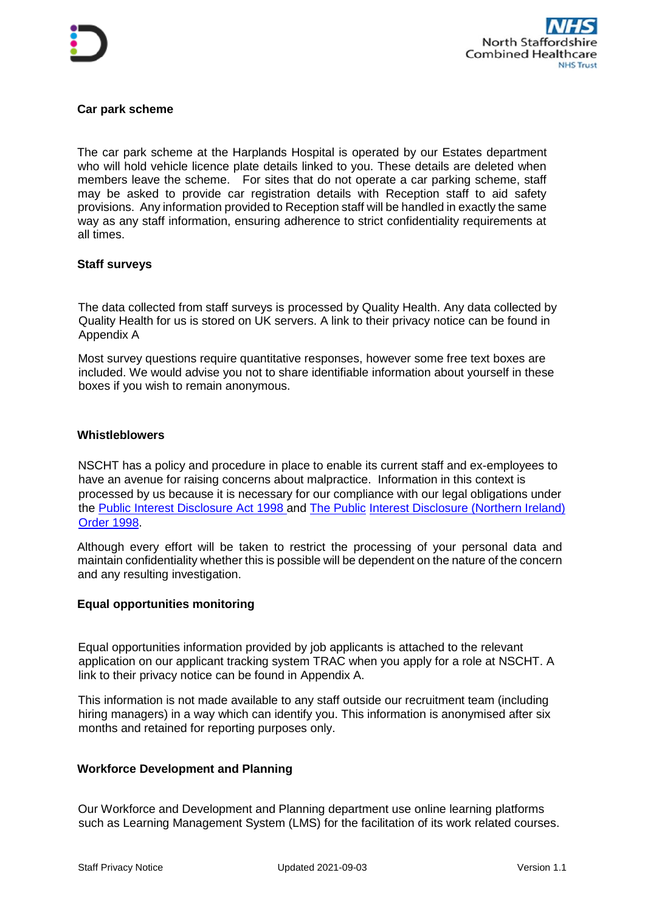



## **Car park scheme**

The car park scheme at the Harplands Hospital is operated by our Estates department who will hold vehicle licence plate details linked to you. These details are deleted when members leave the scheme. For sites that do not operate a car parking scheme, staff may be asked to provide car registration details with Reception staff to aid safety provisions. Any information provided to Reception staff will be handled in exactly the same way as any staff information, ensuring adherence to strict confidentiality requirements at all times.

### **Staff surveys**

The data collected from staff surveys is processed by Quality Health. Any data collected by Quality Health for us is stored on UK servers. A link to their privacy notice can be found in Appendix A

Most survey questions require quantitative responses, however some free text boxes are included. We would advise you not to share identifiable information about yourself in these boxes if you wish to remain anonymous.

### **Whistleblowers**

NSCHT has a policy and procedure in place to enable its current staff and ex-employees to have an avenue for raising concerns about malpractic[e.](http://intranet.child.indigo.local/corporate-functions/organisational-development/Documents/Whistleblowing%20Policy%20v1.doc) Information in this context is processed by us because it is necessary for our compliance with our legal obligations under the [Public Interest Disclosure Act 1998 an](http://www.legislation.gov.uk/ukpga/1998/23/contents)d [The Public](http://www.legislation.gov.uk/nisi/1998/1763/contents) [Interest Disclosure \(Northern Ireland\)](http://www.legislation.gov.uk/nisi/1998/1763/contents)  [Order 1998.](http://www.legislation.gov.uk/nisi/1998/1763/contents) 

Although every effort will be taken to restrict the processing of your personal data and maintain confidentiality whether this is possible will be dependent on the nature of the concern and any resulting investigation.

### **Equal opportunities monitoring**

Equal opportunities information provided by job applicants is attached to the relevant application on our applicant tracking system TRAC when you apply for a role at NSCHT. A link to their privacy notice can be found in Appendix A.

This information is not made available to any staff outside our recruitment team (including hiring managers) in a way which can identify you. This information is anonymised after six months and retained for reporting purposes only.

### **Workforce Development and Planning**

Our Workforce and Development and Planning department use online learning platforms such as Learning Management System (LMS) for the facilitation of its work related courses.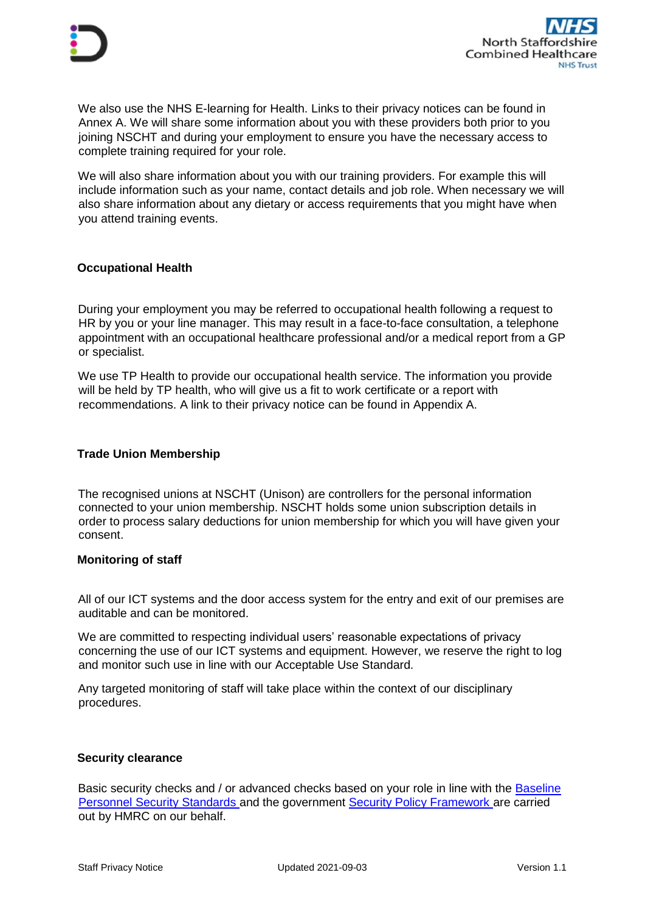

We also use the NHS E-learning for Health. Links to their privacy notices can be found in Annex A. We will share some information about you with these providers both prior to you joining NSCHT and during your employment to ensure you have the necessary access to complete training required for your role.

We will also share information about you with our training providers. For example this will include information such as your name, contact details and job role. When necessary we will also share information about any dietary or access requirements that you might have when you attend training events.

## **Occupational Health**

During your employment you may be referred to occupational health following a request to HR by you or your line manager. This may result in a face-to-face consultation, a telephone appointment with an occupational healthcare professional and/or a medical report from a GP or specialist.

We use TP Health to provide our occupational health service. The information you provide will be held by TP health, who will give us a fit to work certificate or a report with recommendations. A link to their privacy notice can be found in Appendix A.

### **Trade Union Membership**

The recognised unions at NSCHT (Unison) are controllers for the personal information connected to your union membership. NSCHT holds some union subscription details in order to process salary deductions for union membership for which you will have given your consent.

### **Monitoring of staff**

All of our ICT systems and the door access system for the entry and exit of our premises are auditable and can be monitored.

We are committed to respecting individual users' reasonable expectations of privacy concerning the use of our ICT systems and equipment. However, we reserve the right to log and monitor such use in line with our Acceptable Use Standard.

Any targeted monitoring of staff will take place within the context of our disciplinary procedures.

### **Security clearance**

Basic security checks and / or advanced checks based on your role in line with the [Baseline](https://www.gov.uk/government/publications/government-baseline-personnel-security-standard)  [Personnel Security Standards an](https://www.gov.uk/government/publications/government-baseline-personnel-security-standard)d the government [Security Policy Framework](https://www.gov.uk/government/publications/security-policy-framework) are carried out by HMRC on our behalf.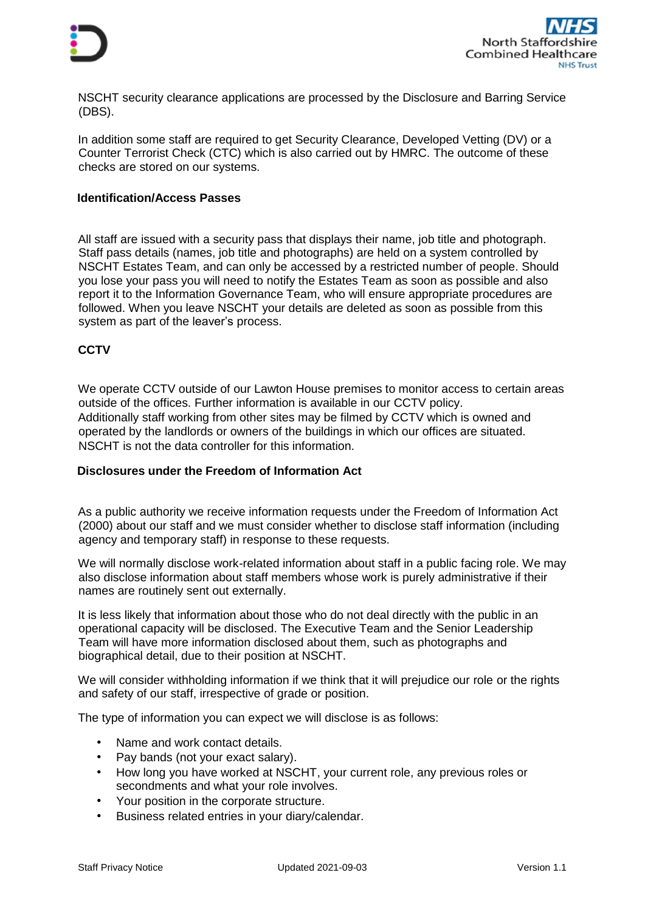



NSCHT security clearance applications are processed by the Disclosure and Barring Service (DBS).

In addition some staff are required to get Security Clearance, Developed Vetting (DV) or a Counter Terrorist Check (CTC) which is also carried out by HMRC. The outcome of these checks are stored on our systems.

#### **Identification/Access Passes**

All staff are issued with a security pass that displays their name, job title and photograph. Staff pass details (names, job title and photographs) are held on a system controlled by NSCHT Estates Team, and can only be accessed by a restricted number of people. Should you lose your pass you will need to notify the Estates Team as soon as possible and also report it to the Information Governance Team, who will ensure appropriate procedures are followed. When you leave NSCHT your details are deleted as soon as possible from this system as part of the leaver's process.

### **CCTV**

We operate CCTV outside of our Lawton House premises to monitor access to certain areas outside of the offices. Further information is available in our CCTV policy. Additionally staff working from other sites may be filmed by CCTV which is owned and operated by the landlords or owners of the buildings in which our offices are situated. NSCHT is not the data controller for this information.

### **Disclosures under the Freedom of Information Act**

As a public authority we receive information requests under the Freedom of Information Act (2000) about our staff and we must consider whether to disclose staff information (including agency and temporary staff) in response to these requests.

We will normally disclose work-related information about staff in a public facing role. We may also disclose information about staff members whose work is purely administrative if their names are routinely sent out externally.

It is less likely that information about those who do not deal directly with the public in an operational capacity will be disclosed. The Executive Team and the Senior Leadership Team will have more information disclosed about them, such as photographs and biographical detail, due to their position at NSCHT.

We will consider withholding information if we think that it will prejudice our role or the rights and safety of our staff, irrespective of grade or position.

The type of information you can expect we will disclose is as follows:

- Name and work contact details.
- Pay bands (not your exact salary).
- How long you have worked at NSCHT, your current role, any previous roles or secondments and what your role involves.
- Your position in the corporate structure.
- Business related entries in your diary/calendar.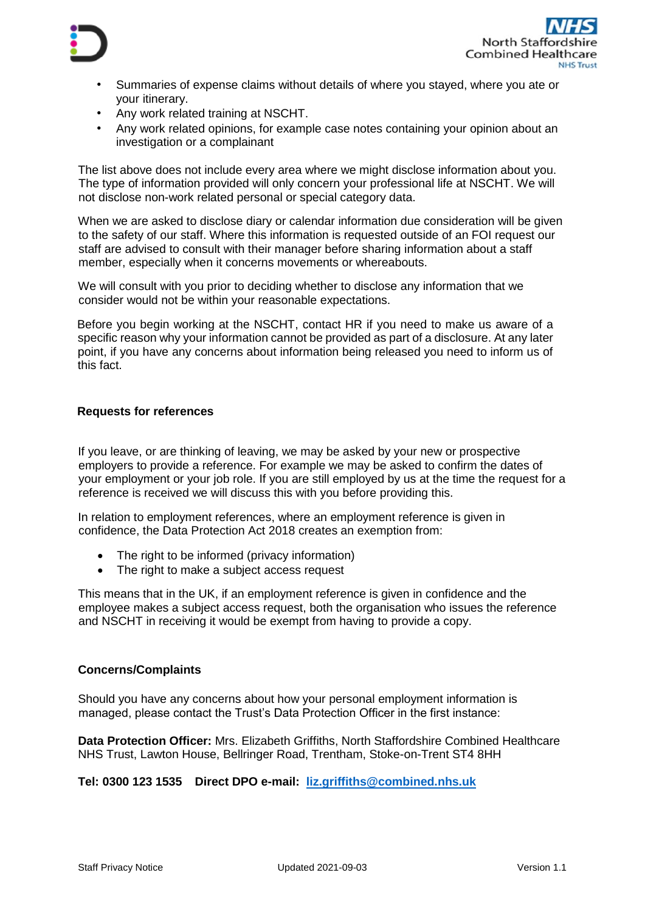



- Summaries of expense claims without details of where you stayed, where you ate or your itinerary.
- Any work related training at NSCHT.
- Any work related opinions, for example case notes containing your opinion about an investigation or a complainant

The list above does not include every area where we might disclose information about you. The type of information provided will only concern your professional life at NSCHT. We will not disclose non-work related personal or special category data.

When we are asked to disclose diary or calendar information due consideration will be given to the safety of our staff. Where this information is requested outside of an FOI request our staff are advised to consult with their manager before sharing information about a staff member, especially when it concerns movements or whereabouts.

We will consult with you prior to deciding whether to disclose any information that we consider would not be within your reasonable expectations.

Before you begin working at the NSCHT, contact HR if you need to make us aware of a specific reason why your information cannot be provided as part of a disclosure. At any later point, if you have any concerns about information being released you need to inform us of this fact.

## **Requests for references**

If you leave, or are thinking of leaving, we may be asked by your new or prospective employers to provide a reference. For example we may be asked to confirm the dates of your employment or your job role. If you are still employed by us at the time the request for a reference is received we will discuss this with you before providing this.

In relation to employment references, where an employment reference is given in confidence, the Data Protection Act 2018 creates an exemption from:

- The right to be informed (privacy information)
- The right to make a subject access request

This means that in the UK, if an employment reference is given in confidence and the employee makes a subject access request, both the organisation who issues the reference and NSCHT in receiving it would be exempt from having to provide a copy.

### **Concerns/Complaints**

Should you have any concerns about how your personal employment information is managed, please contact the Trust's Data Protection Officer in the first instance:

**Data Protection Officer:** Mrs. Elizabeth Griffiths, North Staffordshire Combined Healthcare NHS Trust, Lawton House, Bellringer Road, Trentham, Stoke-on-Trent ST4 8HH

**Tel: 0300 123 1535 Direct DPO e-mail: [liz.griffiths@combined.nhs.uk](mailto:liz.griffiths@combined.nhs.uk)**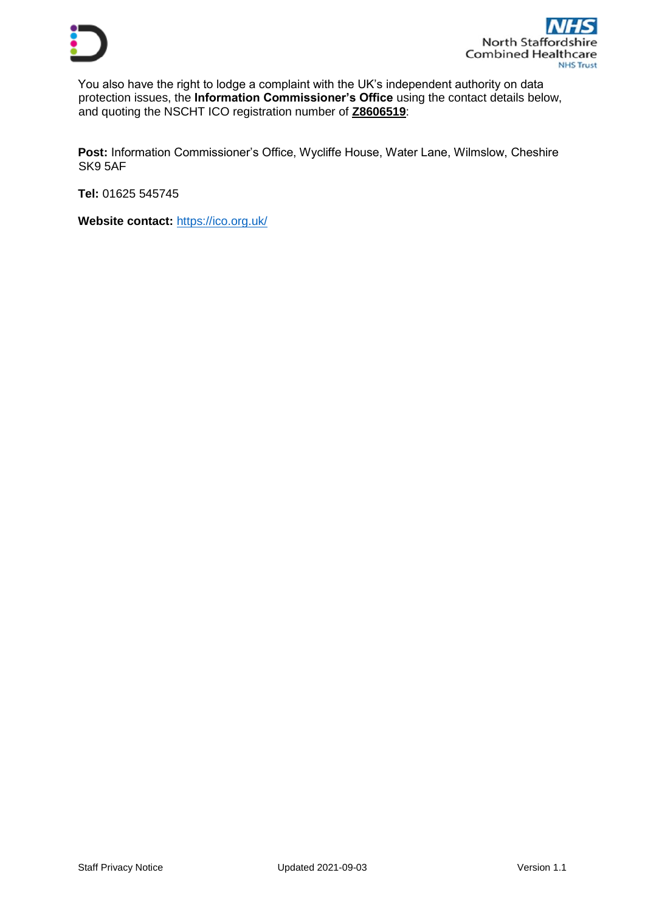

You also have the right to lodge a complaint with the UK's independent authority on data protection issues, the **Information Commissioner's Office** using the contact details below, and quoting the NSCHT ICO registration number of **Z8606519**:

**Post:** Information Commissioner's Office, Wycliffe House, Water Lane, Wilmslow, Cheshire SK9 5AF

**Tel:** 01625 545745

**Website contact:** <https://ico.org.uk/>